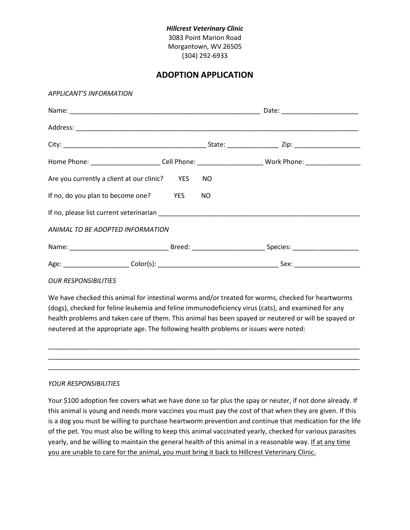### *Hillcrest Veterinary Clinic* 3083 Point Marion Road Morgantown, WV 26505 (304) 292-6933

# **ADOPTION APPLICATION**

#### *APPLICANT'S INFORMATION*

| Home Phone: __________________________Cell Phone: ___________________________Work Phone: ____________________                                                                                                                  |  |  |  |
|--------------------------------------------------------------------------------------------------------------------------------------------------------------------------------------------------------------------------------|--|--|--|
| Are you currently a client at our clinic? YES NO                                                                                                                                                                               |  |  |  |
| If no, do you plan to become one? YES NO                                                                                                                                                                                       |  |  |  |
| If no, please list current veterinarian example and the control of the control of the control of the control of the control of the control of the control of the control of the control of the control of the control of the c |  |  |  |
| ANIMAL TO BE ADOPTED INFORMATION                                                                                                                                                                                               |  |  |  |
|                                                                                                                                                                                                                                |  |  |  |
|                                                                                                                                                                                                                                |  |  |  |

#### *OUR RESPONSIBILITIES*

We have checked this animal for intestinal worms and/or treated for worms, checked for heartworms (dogs), checked for feline leukemia and feline immunodeficiency virus (cats), and examined for any health problems and taken care of them. This animal has been spayed or neutered or will be spayed or neutered at the appropriate age. The following health problems or issues were noted:

\_\_\_\_\_\_\_\_\_\_\_\_\_\_\_\_\_\_\_\_\_\_\_\_\_\_\_\_\_\_\_\_\_\_\_\_\_\_\_\_\_\_\_\_\_\_\_\_\_\_\_\_\_\_\_\_\_\_\_\_\_\_\_\_\_\_\_\_\_\_\_\_\_\_\_\_\_\_\_\_\_\_\_\_\_ \_\_\_\_\_\_\_\_\_\_\_\_\_\_\_\_\_\_\_\_\_\_\_\_\_\_\_\_\_\_\_\_\_\_\_\_\_\_\_\_\_\_\_\_\_\_\_\_\_\_\_\_\_\_\_\_\_\_\_\_\_\_\_\_\_\_\_\_\_\_\_\_\_\_\_\_\_\_\_\_\_\_\_\_\_ \_\_\_\_\_\_\_\_\_\_\_\_\_\_\_\_\_\_\_\_\_\_\_\_\_\_\_\_\_\_\_\_\_\_\_\_\_\_\_\_\_\_\_\_\_\_\_\_\_\_\_\_\_\_\_\_\_\_\_\_\_\_\_\_\_\_\_\_\_\_\_\_\_\_\_\_\_\_\_\_\_\_\_\_\_

#### *YOUR RESPONSIBILITIES*

Your \$100 adoption fee covers what we have done so far plus the spay or neuter, if not done already. If this animal is young and needs more vaccines you must pay the cost of that when they are given. If this is a dog you must be willing to purchase heartworm prevention and continue that medication for the life of the pet. You must also be willing to keep this animal vaccinated yearly, checked for various parasites yearly, and be willing to maintain the general health of this animal in a reasonable way. If at any time you are unable to care for the animal, you must bring it back to Hillcrest Veterinary Clinic.